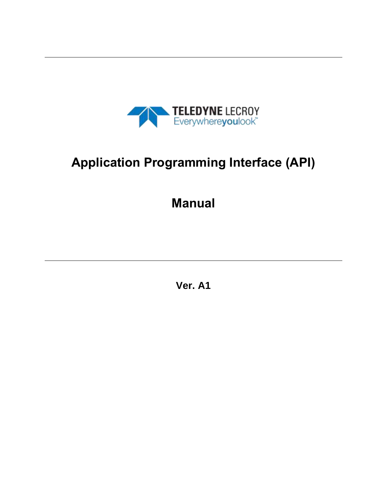

# **Application Programming Interface (API)**

## **Manual**

**Ver. A1**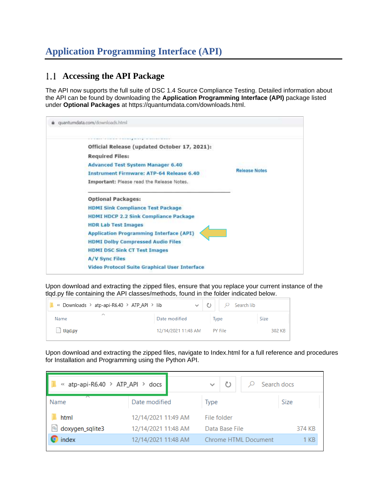## **Application Programming Interface (API)**

#### **Accessing the API Package**

The API now supports the full suite of DSC 1.4 Source Compliance Testing. Detailed information about the API can be found by downloading the **Application Programming Interface (API)** package listed under **Optional Packages** at https://quantumdata.com/downloads.html.

|                       | Official Release (updated October 17, 2021):         |               |
|-----------------------|------------------------------------------------------|---------------|
|                       | <b>Required Files:</b>                               |               |
|                       | <b>Advanced Test System Manager 6.40</b>             |               |
|                       | <b>Instrument Firmware: ATP-64 Release 6.40</b>      | Release Notes |
|                       | Important: Please read the Release Notes.            |               |
|                       | <b>Optional Packages:</b>                            |               |
|                       | <b>HDMI Sink Compliance Test Package</b>             |               |
|                       | <b>HDMI HDCP 2.2 Sink Compliance Package</b>         |               |
|                       | <b>HDR Lab Test Images</b>                           |               |
|                       | <b>Application Programming Interface (API)</b>       |               |
|                       | <b>HDMI Dolby Compressed Audio Files</b>             |               |
|                       | <b>HDMI DSC Sink CT Test Images</b>                  |               |
| <b>A/V Sync Files</b> |                                                      |               |
|                       | <b>Video Protocol Suite Graphical User Interface</b> |               |

Upon download and extracting the zipped files, ensure that you replace your current instance of the tlqd.py file containing the API classes/methods, found in the folder indicated below.

| « Downloads > atp-api-R6.40 > ATP_API > lib | $\checkmark$        | Search lib     |             |
|---------------------------------------------|---------------------|----------------|-------------|
| ∧<br>Name                                   | Date modified       | <b>Type</b>    | <b>Size</b> |
| $\Box$ tlgd.py                              | 12/14/2021 11:48 AM | <b>PY File</b> | 302 KB      |

Upon download and extracting the zipped files, navigate to Index.html for a full reference and procedures for Installation and Programming using the Python API.

| « atp-api-R6.40 > ATP_API > docs  |                     | $\checkmark$   |  |                      | Search docs |      |
|-----------------------------------|---------------------|----------------|--|----------------------|-------------|------|
| Name                              | Date modified       | Type           |  |                      | <b>Size</b> |      |
| html                              | 12/14/2021 11:49 AM | File folder    |  |                      |             |      |
| $\circledcirc$<br>doxygen_sqlite3 | 12/14/2021 11:48 AM | Data Base File |  |                      | 374 KB      |      |
| index                             | 12/14/2021 11:48 AM |                |  | Chrome HTML Document |             | 1 KB |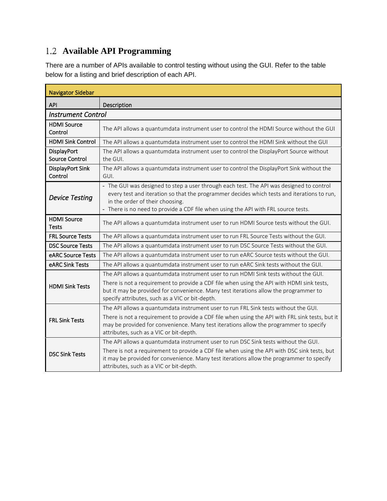### **Available API Programming**

There are a number of APIs available to control testing without using the GUI. Refer to the table below for a listing and brief description of each API.

| <b>Navigator Sidebar</b>             |                                                                                                                                                                                                                                                                                                                              |  |  |  |
|--------------------------------------|------------------------------------------------------------------------------------------------------------------------------------------------------------------------------------------------------------------------------------------------------------------------------------------------------------------------------|--|--|--|
| <b>API</b>                           | Description                                                                                                                                                                                                                                                                                                                  |  |  |  |
| <b>Instrument Control</b>            |                                                                                                                                                                                                                                                                                                                              |  |  |  |
| <b>HDMI</b> Source<br>Control        | The API allows a quantumdata instrument user to control the HDMI Source without the GUI                                                                                                                                                                                                                                      |  |  |  |
| <b>HDMI Sink Control</b>             | The API allows a quantumdata instrument user to control the HDMI Sink without the GUI                                                                                                                                                                                                                                        |  |  |  |
| <b>DisplayPort</b><br>Source Control | The API allows a quantumdata instrument user to control the DisplayPort Source without<br>the GUI.                                                                                                                                                                                                                           |  |  |  |
| DisplayPort Sink<br>Control          | The API allows a quantumdata instrument user to control the DisplayPort Sink without the<br>GUI.                                                                                                                                                                                                                             |  |  |  |
| <b>Device Testing</b>                | - The GUI was designed to step a user through each test. The API was designed to control<br>every test and iteration so that the programmer decides which tests and iterations to run,<br>in the order of their choosing.<br>- There is no need to provide a CDF file when using the API with FRL source tests.              |  |  |  |
| <b>HDMI</b> Source<br><b>Tests</b>   | The API allows a quantumdata instrument user to run HDMI Source tests without the GUI.                                                                                                                                                                                                                                       |  |  |  |
| <b>FRL Source Tests</b>              | The API allows a quantumdata instrument user to run FRL Source Tests without the GUI.                                                                                                                                                                                                                                        |  |  |  |
| <b>DSC Source Tests</b>              | The API allows a quantumdata instrument user to run DSC Source Tests without the GUI.                                                                                                                                                                                                                                        |  |  |  |
| eARC Source Tests                    | The API allows a quantumdata instrument user to run eARC Source tests without the GUI.                                                                                                                                                                                                                                       |  |  |  |
| eARC Sink Tests                      | The API allows a quantumdata instrument user to run eARC Sink tests without the GUI.                                                                                                                                                                                                                                         |  |  |  |
| <b>HDMI Sink Tests</b>               | The API allows a quantumdata instrument user to run HDMI Sink tests without the GUI.<br>There is not a requirement to provide a CDF file when using the API with HDMI sink tests,<br>but it may be provided for convenience. Many test iterations allow the programmer to<br>specify attributes, such as a VIC or bit-depth. |  |  |  |
| <b>FRL Sink Tests</b>                | The API allows a quantumdata instrument user to run FRL Sink tests without the GUI.<br>There is not a requirement to provide a CDF file when using the API with FRL sink tests, but it<br>may be provided for convenience. Many test iterations allow the programmer to specify<br>attributes, such as a VIC or bit-depth.   |  |  |  |
| <b>DSC Sink Tests</b>                | The API allows a quantumdata instrument user to run DSC Sink tests without the GUI.<br>There is not a requirement to provide a CDF file when using the API with DSC sink tests, but<br>it may be provided for convenience. Many test iterations allow the programmer to specify<br>attributes, such as a VIC or bit-depth.   |  |  |  |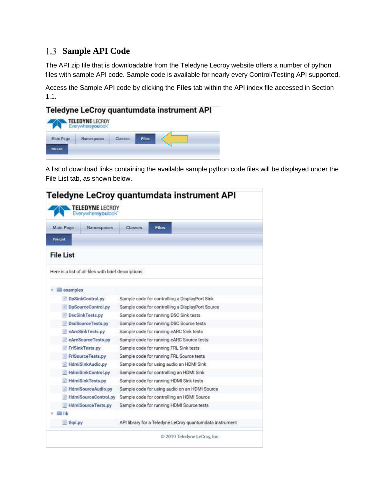#### **Sample API Code**

The API zip file that is downloadable from the Teledyne Lecroy website offers a number of python files with sample API code. Sample code is available for nearly every Control/Testing API supported.

Access the Sample API code by clicking the **Files** tab within the API index file accessed in Section 1.1.

| Teledyne LeCroy quantumdata instrument API<br><b>TELEDYNE LECROY</b> |                   |  |              |  |
|----------------------------------------------------------------------|-------------------|--|--------------|--|
| <b>Main Pace</b>                                                     | Everywhereyoulook |  | <b>Files</b> |  |
| File List                                                            |                   |  |              |  |

A list of download links containing the available sample python code files will be displayed under the File List tab, as shown below.

| Main Page<br>Namespaces                              | Classes<br>Files                                         |
|------------------------------------------------------|----------------------------------------------------------|
| File List                                            |                                                          |
| <b>File List</b>                                     |                                                          |
| Here is a list of all files with brief descriptions: |                                                          |
| examples                                             |                                                          |
| DpSinkControl.py                                     | Sample code for controlling a DisplayPort Sink           |
| DpSourceControl.py                                   | Sample code for controlling a DisplayPort Source         |
| DscSinkTests.py                                      | Sample code for running DSC Sink tests                   |
| DscSourceTests.py                                    | Sample code for running DSC Source tests                 |
| eArcSinkTests.py                                     | Sample code for running eARC Sink tests                  |
| eArcSourceTests.py                                   | Sample code for running eARC Source tests                |
| FriSinkTests.py                                      | Sample code for running FRL Sink tests                   |
| FriSourceTests.py                                    | Sample code for running FRL Source tests                 |
| <b>HdmiSinkAudio.py</b>                              | Sample code for using audio an HDMI Sink                 |
| HdmiSinkControl.py                                   | Sample code for controlling an HDMI Sink                 |
| <b>HdmiSinkTests.py</b>                              | Sample code for running HDMI Sink tests                  |
| HdmiSourceAudio.py                                   | Sample code for using audio on an HDMI Source            |
| HdmiSourceControl.py                                 | Sample code for controlling an HDMI Source               |
| HdmiSourceTests.py                                   | Sample code for running HDMI Source tests                |
| ⊟ lib                                                |                                                          |
| tlgd.py                                              | API library for a Teledyne LeCroy quantumdata instrument |